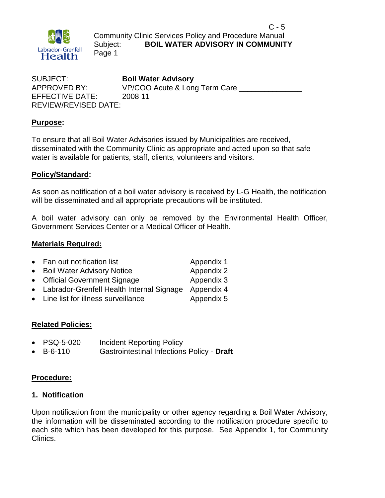

 $C - 5$ Community Clinic Services Policy and Procedure Manual Subject: **BOIL WATER ADVISORY IN COMMUNITY** Page 1

SUBJECT: **Boil Water Advisory** APPROVED BY: VP/COO Acute & Long Term Care EFFECTIVE DATE: 2008 11 REVIEW/REVISED DATE:

#### **Purpose:**

To ensure that all Boil Water Advisories issued by Municipalities are received, disseminated with the Community Clinic as appropriate and acted upon so that safe water is available for patients, staff, clients, volunteers and visitors.

#### **Policy/Standard:**

As soon as notification of a boil water advisory is received by L-G Health, the notification will be disseminated and all appropriate precautions will be instituted.

A boil water advisory can only be removed by the Environmental Health Officer, Government Services Center or a Medical Officer of Health.

#### **Materials Required:**

|  | Fan out notification list | Appendix 1 |
|--|---------------------------|------------|
|--|---------------------------|------------|

- Boil Water Advisory Notice **Appendix 2**
- Official Government Signage Appendix 3
- Labrador-Grenfell Health Internal Signage Appendix 4
- Line list for illness surveillance Appendix 5

#### **Related Policies:**

- PSQ-5-020 Incident Reporting Policy
- B-6-110 Gastrointestinal Infections Policy **Draft**

#### **Procedure:**

#### **1. Notification**

Upon notification from the municipality or other agency regarding a Boil Water Advisory, the information will be disseminated according to the notification procedure specific to each site which has been developed for this purpose. See Appendix 1, for Community Clinics.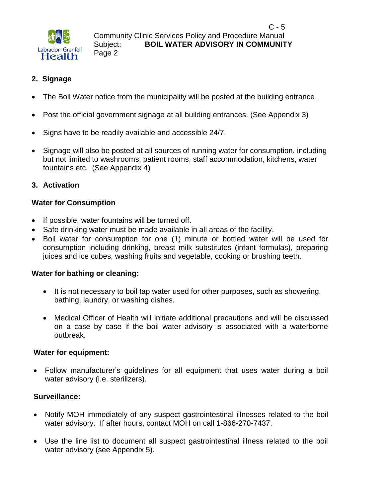

#### **2. Signage**

- The Boil Water notice from the municipality will be posted at the building entrance.
- Post the official government signage at all building entrances. (See Appendix 3)
- Signs have to be readily available and accessible 24/7.
- Signage will also be posted at all sources of running water for consumption, including but not limited to washrooms, patient rooms, staff accommodation, kitchens, water fountains etc. (See Appendix 4)

#### **3. Activation**

#### **Water for Consumption**

- If possible, water fountains will be turned off.
- Safe drinking water must be made available in all areas of the facility.
- Boil water for consumption for one (1) minute or bottled water will be used for consumption including drinking, breast milk substitutes (infant formulas), preparing juices and ice cubes, washing fruits and vegetable, cooking or brushing teeth.

#### **Water for bathing or cleaning:**

- It is not necessary to boil tap water used for other purposes, such as showering, bathing, laundry, or washing dishes.
- Medical Officer of Health will initiate additional precautions and will be discussed on a case by case if the boil water advisory is associated with a waterborne outbreak.

#### **Water for equipment:**

 Follow manufacturer's guidelines for all equipment that uses water during a boil water advisory (i.e. sterilizers).

#### **Surveillance:**

- Notify MOH immediately of any suspect gastrointestinal illnesses related to the boil water advisory. If after hours, contact MOH on call 1-866-270-7437.
- Use the line list to document all suspect gastrointestinal illness related to the boil water advisory (see Appendix 5).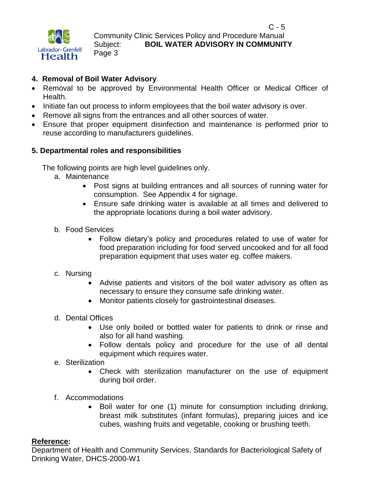

#### $C - 5$ Community Clinic Services Policy and Procedure Manual Subject: **BOIL WATER ADVISORY IN COMMUNITY** Page 3

#### **4. Removal of Boil Water Advisory**

- Removal to be approved by Environmental Health Officer or Medical Officer of Health.
- Initiate fan out process to inform employees that the boil water advisory is over.
- Remove all signs from the entrances and all other sources of water.
- Ensure that proper equipment disinfection and maintenance is performed prior to reuse according to manufacturers guidelines.

#### **5. Departmental roles and responsibilities**

The following points are high level guidelines only.

- a. Maintenance
	- Post signs at building entrances and all sources of running water for consumption. See Appendix 4 for signage.
	- Ensure safe drinking water is available at all times and delivered to the appropriate locations during a boil water advisory.
- b. Food Services
	- Follow dietary's policy and procedures related to use of water for food preparation including for food served uncooked and for all food preparation equipment that uses water eg. coffee makers.

#### c. Nursing

- Advise patients and visitors of the boil water advisory as often as necessary to ensure they consume safe drinking water.
- Monitor patients closely for gastrointestinal diseases.
- d. Dental Offices
	- Use only boiled or bottled water for patients to drink or rinse and also for all hand washing.
	- Follow dentals policy and procedure for the use of all dental equipment which requires water.
- e. Sterilization
	- Check with sterilization manufacturer on the use of equipment during boil order.
- f. Accommodations
	- Boil water for one (1) minute for consumption including drinking, breast milk substitutes (infant formulas), preparing juices and ice cubes, washing fruits and vegetable, cooking or brushing teeth.

#### **Reference:**

Department of Health and Community Services, Standards for Bacteriological Safety of Drinking Water, DHCS-2000-W1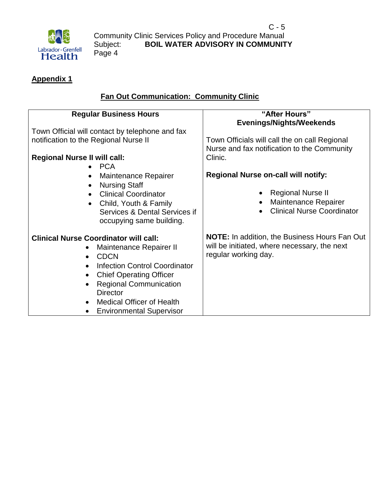

#### **Appendix 1**

#### **Fan Out Communication: Community Clinic**

| <b>Regular Business Hours</b>                                                                                                                                                                                                                                                                                         | "After Hours"                                                                                                                |  |  |  |  |  |  |  |
|-----------------------------------------------------------------------------------------------------------------------------------------------------------------------------------------------------------------------------------------------------------------------------------------------------------------------|------------------------------------------------------------------------------------------------------------------------------|--|--|--|--|--|--|--|
| Town Official will contact by telephone and fax                                                                                                                                                                                                                                                                       | <b>Evenings/Nights/Weekends</b>                                                                                              |  |  |  |  |  |  |  |
| notification to the Regional Nurse II                                                                                                                                                                                                                                                                                 | Town Officials will call the on call Regional<br>Nurse and fax notification to the Community                                 |  |  |  |  |  |  |  |
| <b>Regional Nurse II will call:</b><br>$\bullet$ PCA                                                                                                                                                                                                                                                                  | Clinic.                                                                                                                      |  |  |  |  |  |  |  |
| Maintenance Repairer<br><b>Nursing Staff</b>                                                                                                                                                                                                                                                                          | <b>Regional Nurse on-call will notify:</b>                                                                                   |  |  |  |  |  |  |  |
| <b>Clinical Coordinator</b><br>Child, Youth & Family<br>$\bullet$<br>Services & Dental Services if<br>occupying same building.                                                                                                                                                                                        | <b>Regional Nurse II</b><br>Maintenance Repairer<br><b>Clinical Nurse Coordinator</b>                                        |  |  |  |  |  |  |  |
| <b>Clinical Nurse Coordinator will call:</b><br>Maintenance Repairer II<br><b>CDCN</b><br>$\bullet$<br><b>Infection Control Coordinator</b><br><b>Chief Operating Officer</b><br><b>Regional Communication</b><br><b>Director</b><br><b>Medical Officer of Health</b><br>$\bullet$<br><b>Environmental Supervisor</b> | <b>NOTE:</b> In addition, the Business Hours Fan Out<br>will be initiated, where necessary, the next<br>regular working day. |  |  |  |  |  |  |  |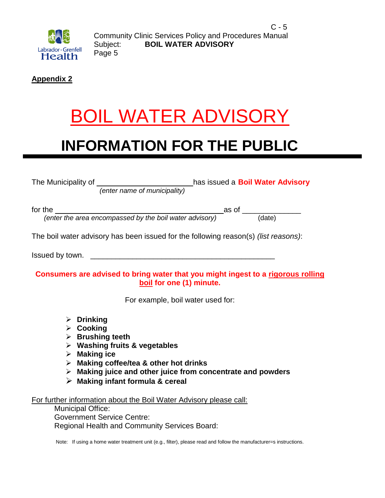

 $C - 5$ Community Clinic Services Policy and Procedures Manual Subject: **BOIL WATER ADVISORY** Page 5

**Appendix 2**

### BOIL WATER ADVISORY

### **INFORMATION FOR THE PUBLIC**

|                                                                                                                                                                                                                                                                                     | The Municipality of $\underbrace{\hspace{1cm}}$ (enter name of municipality) has issued a <b>Boil Water Advisory</b> |  |  |  |  |  |  |  |  |  |  |
|-------------------------------------------------------------------------------------------------------------------------------------------------------------------------------------------------------------------------------------------------------------------------------------|----------------------------------------------------------------------------------------------------------------------|--|--|--|--|--|--|--|--|--|--|
|                                                                                                                                                                                                                                                                                     | for the $\frac{\phantom{xx} \phantom{xx} }{x}$ as of $\frac{\phantom{xx} \phantom{xx} }{x}$ (date) (date)            |  |  |  |  |  |  |  |  |  |  |
|                                                                                                                                                                                                                                                                                     | The boil water advisory has been issued for the following reason(s) (list reasons):                                  |  |  |  |  |  |  |  |  |  |  |
| Consumers are advised to bring water that you might ingest to a rigorous rolling<br>boil for one (1) minute.                                                                                                                                                                        |                                                                                                                      |  |  |  |  |  |  |  |  |  |  |
| For example, boil water used for:                                                                                                                                                                                                                                                   |                                                                                                                      |  |  |  |  |  |  |  |  |  |  |
| $\triangleright$ Drinking<br>$\triangleright$ Cooking<br>$\triangleright$ Brushing teeth<br>$\triangleright$ Washing fruits & vegetables<br>$\triangleright$ Making ice<br>$\triangleright$ Making coffee/tea & other hot drinks<br>$\triangleright$ Making infant formula & cereal | $\triangleright$ Making juice and other juice from concentrate and powders                                           |  |  |  |  |  |  |  |  |  |  |
| For further information about the Boil Water Advisory please call:<br><b>Municipal Office:</b><br><b>Government Service Centre:</b><br>Regional Health and Community Services Board:                                                                                                |                                                                                                                      |  |  |  |  |  |  |  |  |  |  |

Note: If using a home water treatment unit (e.g., filter), please read and follow the manufacturer=s instructions.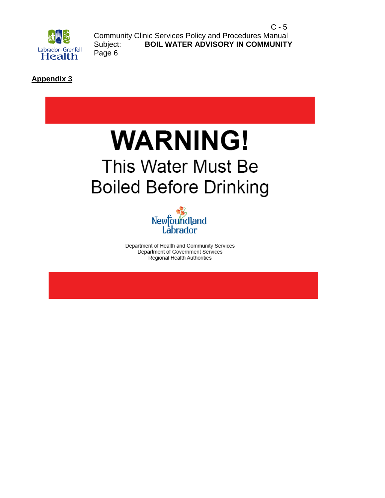

 $C - 5$ Community Clinic Services Policy and Procedures Manual Subject: **BOIL WATER ADVISORY IN COMMUNITY** Page 6

**Appendix 3**

### **WARNING!** This Water Must Be **Boiled Before Drinking**



Department of Health and Community Services Department of Government Services Regional Health Authorities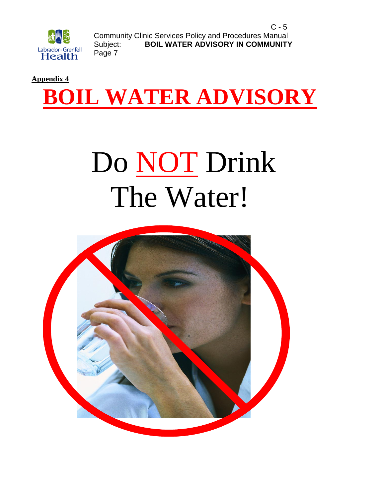

 $C - 5$ Community Clinic Services Policy and Procedures Manual Subject: **BOIL WATER ADVISORY IN COMMUNITY** Page 7



## Do NOT Drink The Water!

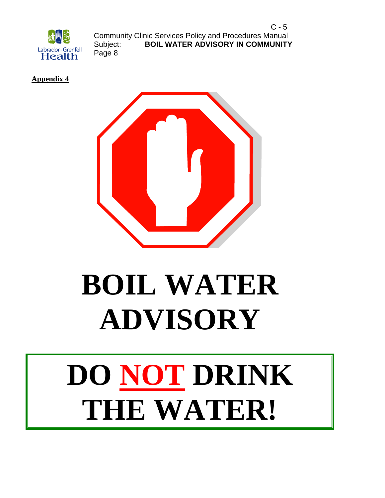

 $C - 5$ Community Clinic Services Policy and Procedures Manual Subject: **BOIL WATER ADVISORY IN COMMUNITY** Page 8

**Appendix 4**



# **BOIL WATER ADVISORY**

# **DO NOT DRINK THE WATER!**